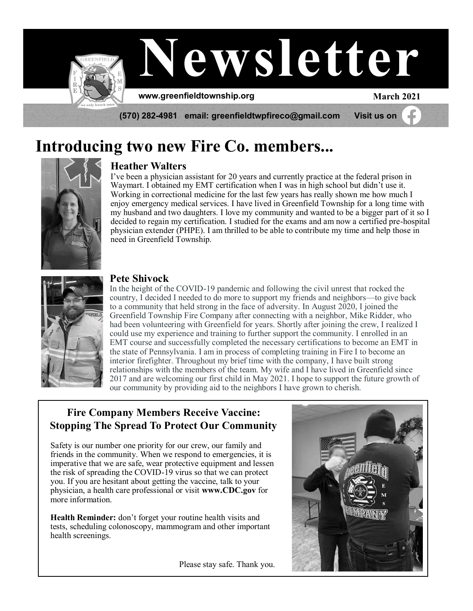

# **Introducing two new Fire Co. members...**



#### **Heather Walters**

I've been a physician assistant for 20 years and currently practice at the federal prison in Waymart. I obtained my EMT certification when I was in high school but didn't use it. Working in correctional medicine for the last few years has really shown me how much I enjoy emergency medical services. I have lived in Greenfield Township for a long time with my husband and two daughters. I love my community and wanted to be a bigger part of it so I decided to regain my certification. I studied for the exams and am now a certified pre-hospital physician extender (PHPE). I am thrilled to be able to contribute my time and help those in need in Greenfield Township.



#### **Pete Shivock**

In the height of the COVID-19 pandemic and following the civil unrest that rocked the country, I decided I needed to do more to support my friends and neighbors—to give back to a community that held strong in the face of adversity. In August 2020, I joined the Greenfield Township Fire Company after connecting with a neighbor, Mike Ridder, who had been volunteering with Greenfield for years. Shortly after joining the crew, I realized I could use my experience and training to further support the community. I enrolled in an EMT course and successfully completed the necessary certifications to become an EMT in the state of Pennsylvania. I am in process of completing training in Fire I to become an interior firefighter. Throughout my brief time with the company, I have built strong relationships with the members of the team. My wife and I have lived in Greenfield since 2017 and are welcoming our first child in May 2021. I hope to support the future growth of our community by providing aid to the neighbors I have grown to cherish.

### **Fire Company Members Receive Vaccine: Stopping The Spread To Protect Our Community**

Safety is our number one priority for our crew, our family and friends in the community. When we respond to emergencies, it is imperative that we are safe, wear protective equipment and lessen the risk of spreading the COVID-19 virus so that we can protect you. If you are hesitant about getting the vaccine, talk to your physician, a health care professional or visit **www.CDC.gov** for more information.

**Health Reminder:** don't forget your routine health visits and tests, scheduling colonoscopy, mammogram and other important health screenings.



Please stay safe. Thank you.